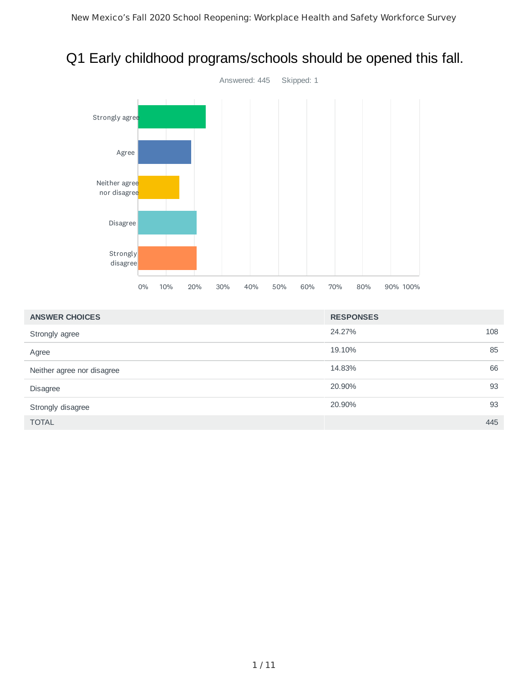



| <b>ANSWER CHOICES</b>      | <b>RESPONSES</b> |
|----------------------------|------------------|
| Strongly agree             | 24.27%<br>108    |
| Agree                      | 85<br>19.10%     |
| Neither agree nor disagree | 66<br>14.83%     |
| <b>Disagree</b>            | 93<br>20.90%     |
| Strongly disagree          | 93<br>20.90%     |
| <b>TOTAL</b>               | 445              |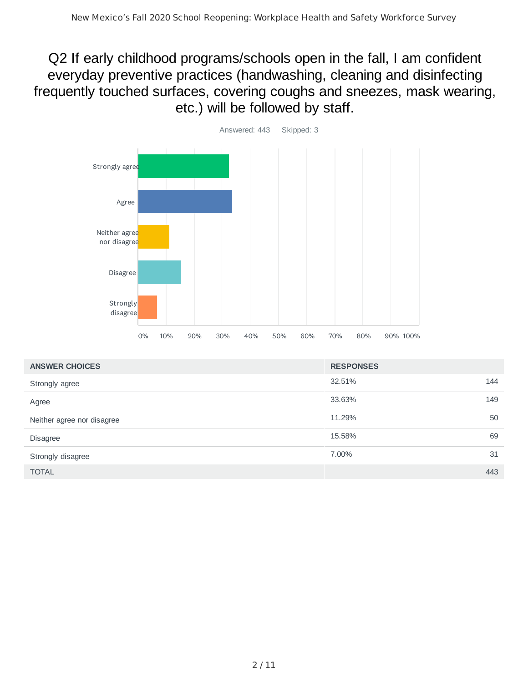Q2 If early childhood programs/schools open in the fall, I am confident everyday preventive practices (handwashing, cleaning and disinfecting frequently touched surfaces, covering coughs and sneezes, mask wearing, etc.) will be followed by staff.



| <b>ANSWER CHOICES</b>      | <b>RESPONSES</b> |     |
|----------------------------|------------------|-----|
| Strongly agree             | 32.51%           | 144 |
| Agree                      | 33.63%           | 149 |
| Neither agree nor disagree | 11.29%           | 50  |
| <b>Disagree</b>            | 15.58%           | 69  |
| Strongly disagree          | 7.00%            | 31  |
| <b>TOTAL</b>               |                  | 443 |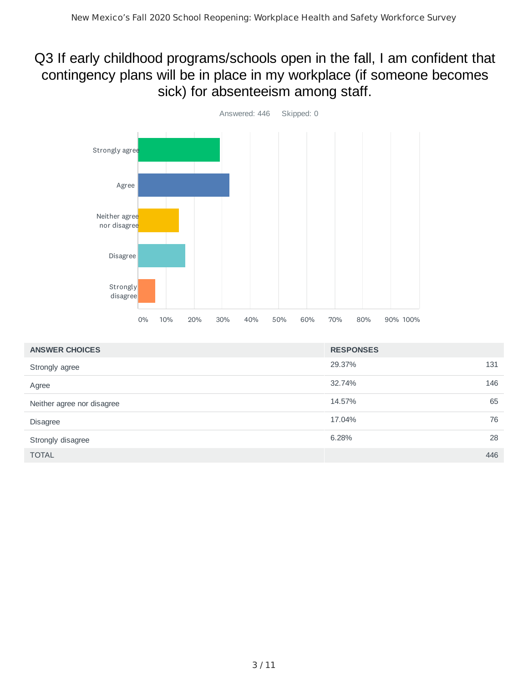# Q3 If early childhood programs/schools open in the fall, I am confident that contingency plans will be in place in my workplace (if someone becomes sick) for absenteeism among staff.



| <b>ANSWER CHOICES</b>      | <b>RESPONSES</b> |     |
|----------------------------|------------------|-----|
| Strongly agree             | 29.37%<br>131    |     |
| Agree                      | 32.74%           | 146 |
| Neither agree nor disagree | 14.57%           | 65  |
| <b>Disagree</b>            | 17.04%           | 76  |
| Strongly disagree          | 6.28%            | 28  |
| <b>TOTAL</b>               |                  | 446 |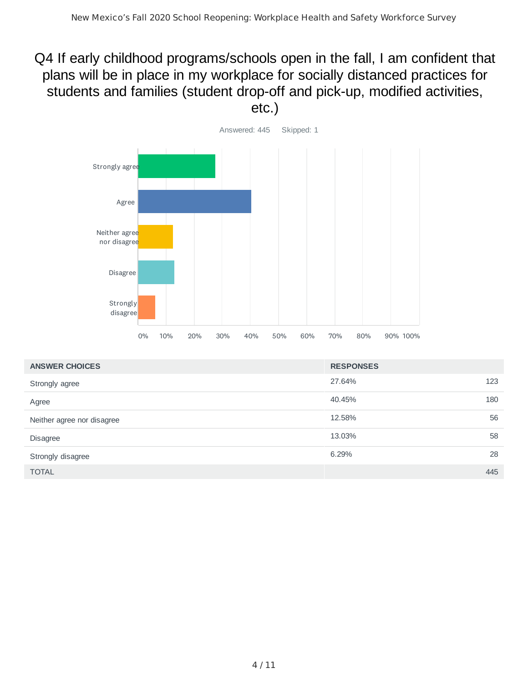# Q4 If early childhood programs/schools open in the fall, I am confident that plans will be in place in my workplace for socially distanced practices for students and families (student drop-off and pick-up, modified activities, etc.)



| <b>ANSWER CHOICES</b>      | <b>RESPONSES</b> |
|----------------------------|------------------|
| Strongly agree             | 123<br>27.64%    |
| Agree                      | 180<br>40.45%    |
| Neither agree nor disagree | 56<br>12.58%     |
| <b>Disagree</b>            | 58<br>13.03%     |
| Strongly disagree          | 28<br>6.29%      |
| <b>TOTAL</b>               | 445              |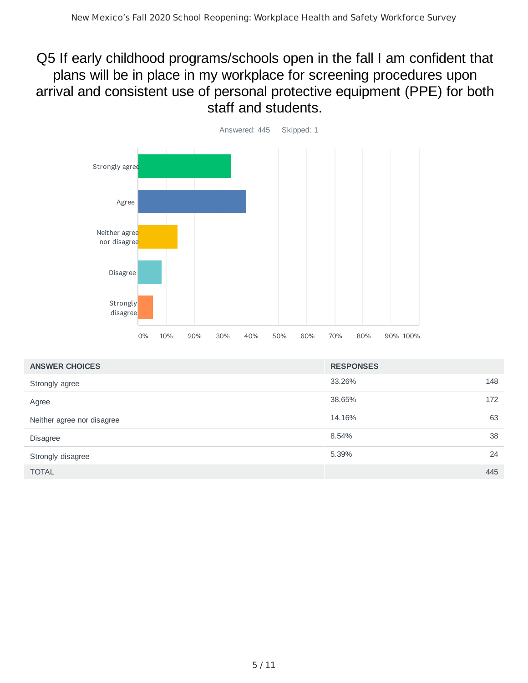## Q5 If early childhood programs/schools open in the fall I am confident that plans will be in place in my workplace for screening procedures upon arrival and consistent use of personal protective equipment (PPE) for both staff and students.



| <b>ANSWER CHOICES</b>      | <b>RESPONSES</b> |  |
|----------------------------|------------------|--|
| Strongly agree             | 148<br>33.26%    |  |
| Agree                      | 38.65%<br>172    |  |
| Neither agree nor disagree | 63<br>14.16%     |  |
| <b>Disagree</b>            | 38<br>8.54%      |  |
| Strongly disagree          | 24<br>5.39%      |  |
| <b>TOTAL</b>               | 445              |  |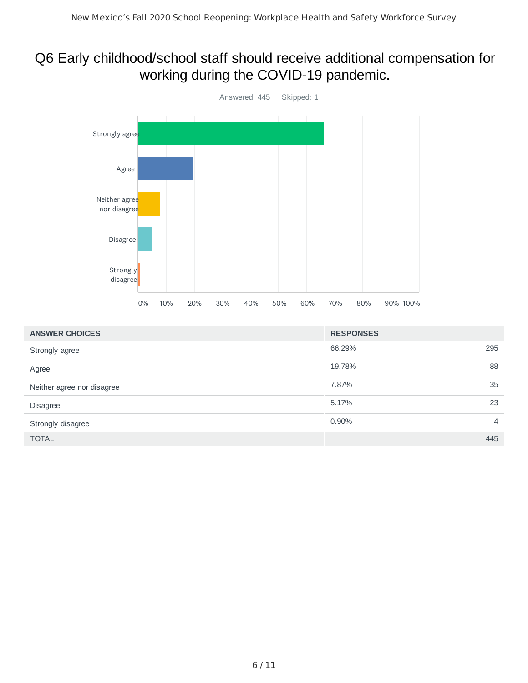# Q6 Early childhood/school staff should receive additional compensation for working during the COVID-19 pandemic.



| <b>ANSWER CHOICES</b>      | <b>RESPONSES</b> |                |
|----------------------------|------------------|----------------|
| Strongly agree             | 66.29%           | 295            |
| Agree                      | 19.78%           | 88             |
| Neither agree nor disagree | 7.87%            | 35             |
| Disagree                   | 5.17%            | 23             |
| Strongly disagree          | 0.90%            | $\overline{4}$ |
| <b>TOTAL</b>               |                  | 445            |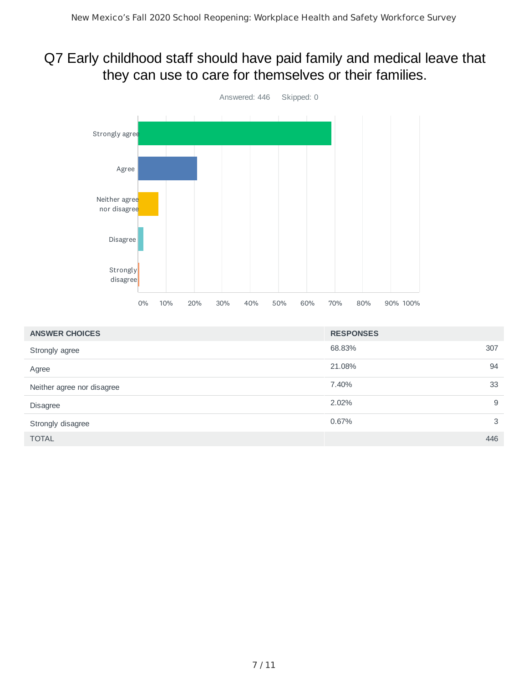# Q7 Early childhood staff should have paid family and medical leave that they can use to care for themselves or their families.



| <b>ANSWER CHOICES</b>      | <b>RESPONSES</b> |     |
|----------------------------|------------------|-----|
| Strongly agree             | 68.83%           | 307 |
| Agree                      | 21.08%           | 94  |
| Neither agree nor disagree | 7.40%            | 33  |
| Disagree                   | 2.02%            | 9   |
| Strongly disagree          | 0.67%            | 3   |
| <b>TOTAL</b>               |                  | 446 |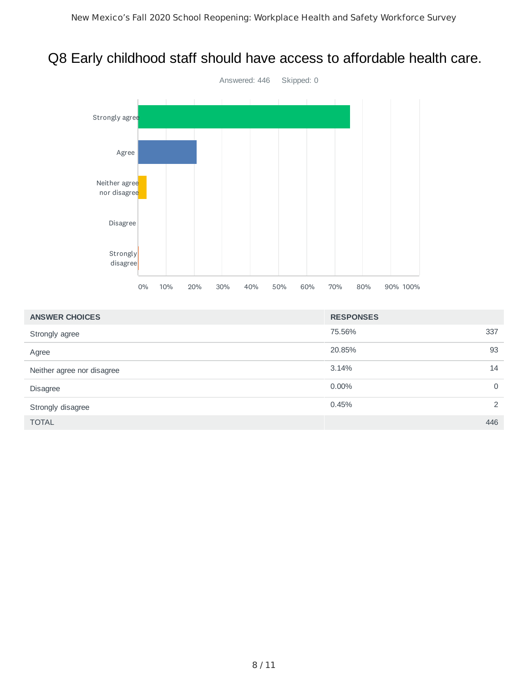# Q8 Early childhood staff should have access to affordable health care.



| <b>ANSWER CHOICES</b>      | <b>RESPONSES</b> |                |
|----------------------------|------------------|----------------|
| Strongly agree             | 75.56%           | 337            |
| Agree                      | 20.85%           | 93             |
| Neither agree nor disagree | 3.14%            | 14             |
| <b>Disagree</b>            | $0.00\%$         | $\overline{0}$ |
| Strongly disagree          | 0.45%            | 2              |
| <b>TOTAL</b>               |                  | 446            |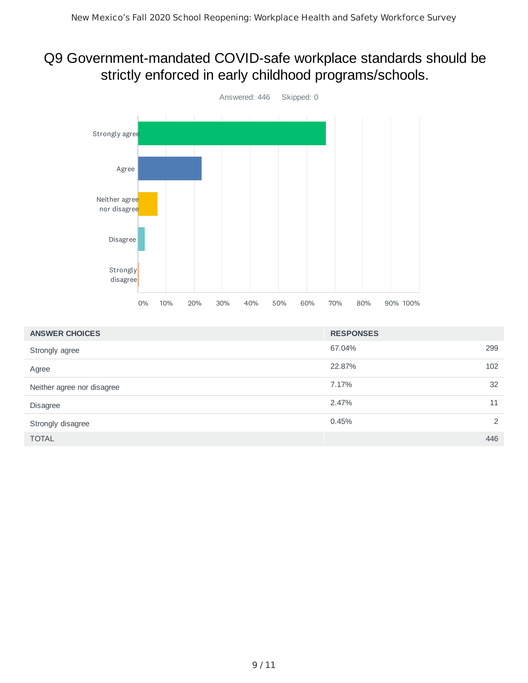#### Q9 Government-mandated COVID-safe workplace standards should be strictly enforced in early childhood programs/schools.



| <b>ANSWER CHOICES</b>      | <b>RESPONSES</b> |     |
|----------------------------|------------------|-----|
| Strongly agree             | 67.04%           | 299 |
| Agree                      | 22.87%           | 102 |
| Neither agree nor disagree | 7.17%            | 32  |
| Disagree                   | 2.47%            | 11  |
| Strongly disagree          | 0.45%            | 2   |
| <b>TOTAL</b>               |                  | 446 |